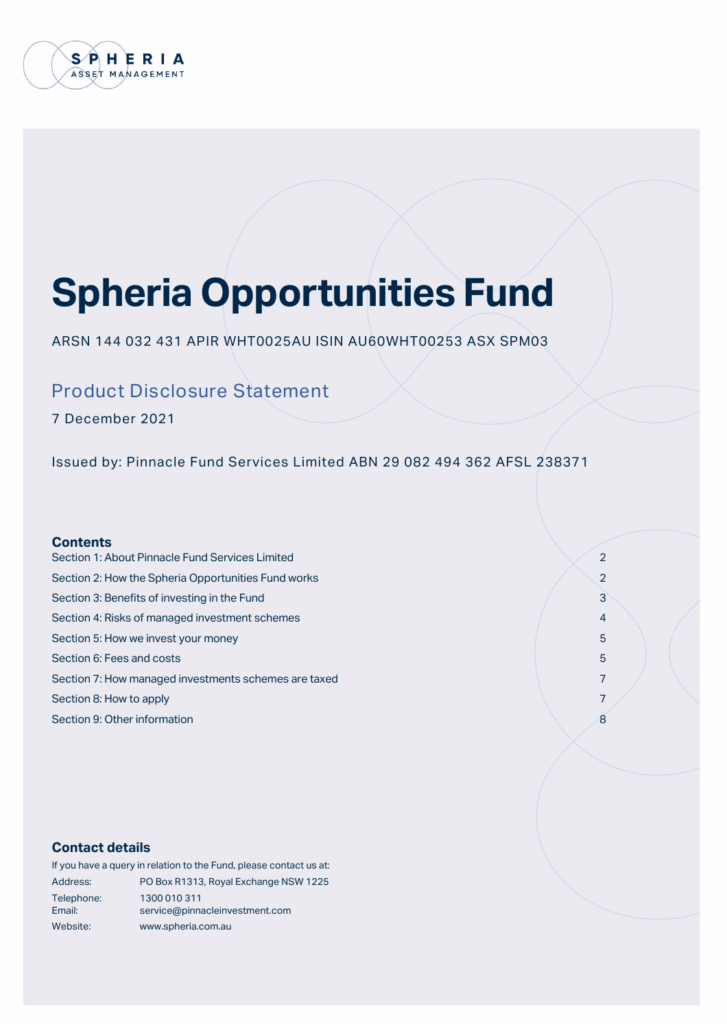

# **Spheria Opportunities Fund**

ARSN 144 032 431 APIR WHT0025AU ISIN AU60WHT00253 ASX SPM03

# Product Disclosure Statement

7 December 2021

Issued by: Pinnacle Fund Services Limited ABN 29 082 494 362 AFSL 238371

# **Contents**

- Section 1: About Pinnacle Fund Services Limited 2 Section 2: How the Spheria Opportunities Fund works 2 2 Section 3: Benefits of investing in the Fund 3 3 Section 3: Benefits of investing in the Fund 3 3  $\sim$  3 3  $\sim$  3 Section 4: Risks of managed investment schemes 4 and  $\sim$  4 and 4 and 4 and 4 and 4 and 4 and 4 and 4 and 4 and 4 and 4 and 4 and 4 and 4 and 4 and 4 and 4 and 4 and 4 and 4 and 4 and 4 and 4 and 4 and 4 and 4 and 4 and 4 Section 5: How we invest your money 5 and 30 section 5 section 5 section 5 section 5 section 5 section 5 section 5 Section 6: Fees and costs 5 and 2008 Section 6: Fees and Costs 5 and 2008 Section 6: Fees and Costs 5 and 2008 Section 6: Fees and Costs 5 and 2008 Section 6: Fees and Costs 6 and 2008 Section 6: Fees and 2008 Section 6: F Section 7: How managed investments schemes are taxed 7  $\sim$  7 Section 8: How to apply 7
- Section 9: Other information 8

# **Contact details**

|                      | If you have a query in relation to the Fund, please contact us at: |
|----------------------|--------------------------------------------------------------------|
| Address:             | PO Box R1313, Royal Exchange NSW 1225                              |
| Telephone:<br>Email: | 1300 010 311<br>service@pinnacleinvestment.com                     |
| Website:             | www.spheria.com.au                                                 |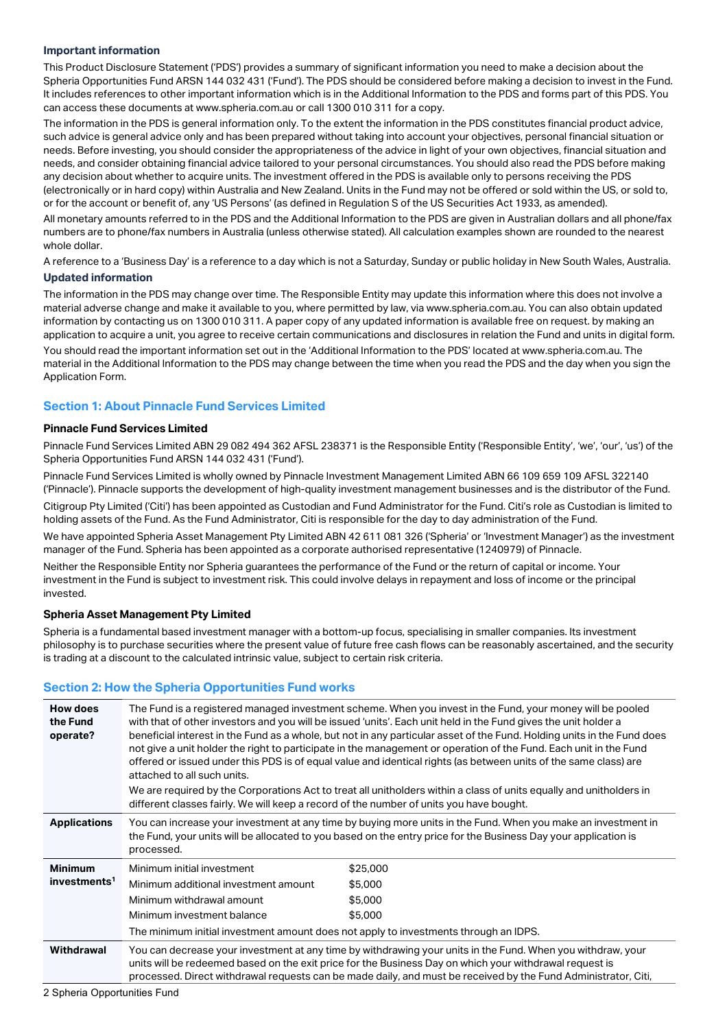#### **Important information**

This Product Disclosure Statement ('PDS') provides a summary of significant information you need to make a decision about the Spheria Opportunities Fund ARSN 144 032 431 ('Fund'). The PDS should be considered before making a decision to invest in the Fund. It includes references to other important information which is in the Additional Information to the PDS and forms part of this PDS. You can access these documents at www.spheria.com.au or call 1300 010 311 for a copy.

The information in the PDS is general information only. To the extent the information in the PDS constitutes financial product advice, such advice is general advice only and has been prepared without taking into account your objectives, personal financial situation or needs. Before investing, you should consider the appropriateness of the advice in light of your own objectives, financial situation and needs, and consider obtaining financial advice tailored to your personal circumstances. You should also read the PDS before making any decision about whether to acquire units. The investment offered in the PDS is available only to persons receiving the PDS (electronically or in hard copy) within Australia and New Zealand. Units in the Fund may not be offered or sold within the US, or sold to, or for the account or benefit of, any 'US Persons' (as defined in Regulation S of the US Securities Act 1933, as amended).

All monetary amounts referred to in the PDS and the Additional Information to the PDS are given in Australian dollars and all phone/fax numbers are to phone/fax numbers in Australia (unless otherwise stated). All calculation examples shown are rounded to the nearest whole dollar.

A reference to a 'Business Day' is a reference to a day which is not a Saturday, Sunday or public holiday in New South Wales, Australia.

# **Updated information**

The information in the PDS may change over time. The Responsible Entity may update this information where this does not involve a material adverse change and make it available to you, where permitted by law, via www.spheria.com.au. You can also obtain updated information by contacting us on 1300 010 311. A paper copy of any updated information is available free on request. by making an application to acquire a unit, you agree to receive certain communications and disclosures in relation the Fund and units in digital form. You should read the important information set out in the 'Additional Information to the PDS' located at www.spheria.com.au. The material in the Additional Information to the PDS may change between the time when you read the PDS and the day when you sign the Application Form.

# **Section 1: About Pinnacle Fund Services Limited**

### **Pinnacle Fund Services Limited**

Pinnacle Fund Services Limited ABN 29 082 494 362 AFSL 238371 is the Responsible Entity ('Responsible Entity', 'we', 'our', 'us') of the Spheria Opportunities Fund ARSN 144 032 431 ('Fund').

Pinnacle Fund Services Limited is wholly owned by Pinnacle Investment Management Limited ABN 66 109 659 109 AFSL 322140 ('Pinnacle'). Pinnacle supports the development of high-quality investment management businesses and is the distributor of the Fund. Citigroup Pty Limited ('Citi') has been appointed as Custodian and Fund Administrator for the Fund. Citi's role as Custodian is limited to holding assets of the Fund. As the Fund Administrator, Citi is responsible for the day to day administration of the Fund.

We have appointed Spheria Asset Management Pty Limited ABN 42 611 081 326 ('Spheria' or 'Investment Manager') as the investment manager of the Fund. Spheria has been appointed as a corporate authorised representative (1240979) of Pinnacle.

Neither the Responsible Entity nor Spheria guarantees the performance of the Fund or the return of capital or income. Your investment in the Fund is subject to investment risk. This could involve delays in repayment and loss of income or the principal invested.

#### **Spheria Asset Management Pty Limited**

Spheria is a fundamental based investment manager with a bottom-up focus, specialising in smaller companies. Its investment philosophy is to purchase securities where the present value of future free cash flows can be reasonably ascertained, and the security is trading at a discount to the calculated intrinsic value, subject to certain risk criteria.

# **Section 2: How the Spheria Opportunities Fund works**

| <b>How does</b><br>the Fund<br>operate? | The Fund is a registered managed investment scheme. When you invest in the Fund, your money will be pooled<br>with that of other investors and you will be issued 'units'. Each unit held in the Fund gives the unit holder a<br>beneficial interest in the Fund as a whole, but not in any particular asset of the Fund. Holding units in the Fund does<br>not give a unit holder the right to participate in the management or operation of the Fund. Each unit in the Fund<br>offered or issued under this PDS is of equal value and identical rights (as between units of the same class) are<br>attached to all such units.<br>We are required by the Corporations Act to treat all unitholders within a class of units equally and unitholders in<br>different classes fairly. We will keep a record of the number of units you have bought. |          |  |
|-----------------------------------------|----------------------------------------------------------------------------------------------------------------------------------------------------------------------------------------------------------------------------------------------------------------------------------------------------------------------------------------------------------------------------------------------------------------------------------------------------------------------------------------------------------------------------------------------------------------------------------------------------------------------------------------------------------------------------------------------------------------------------------------------------------------------------------------------------------------------------------------------------|----------|--|
| <b>Applications</b>                     | You can increase your investment at any time by buying more units in the Fund. When you make an investment in<br>the Fund, your units will be allocated to you based on the entry price for the Business Day your application is<br>processed.                                                                                                                                                                                                                                                                                                                                                                                                                                                                                                                                                                                                     |          |  |
| <b>Minimum</b>                          | Minimum initial investment                                                                                                                                                                                                                                                                                                                                                                                                                                                                                                                                                                                                                                                                                                                                                                                                                         | \$25,000 |  |
| investments <sup>1</sup>                | Minimum additional investment amount                                                                                                                                                                                                                                                                                                                                                                                                                                                                                                                                                                                                                                                                                                                                                                                                               | \$5,000  |  |
|                                         | Minimum withdrawal amount                                                                                                                                                                                                                                                                                                                                                                                                                                                                                                                                                                                                                                                                                                                                                                                                                          | \$5,000  |  |
|                                         | Minimum investment balance                                                                                                                                                                                                                                                                                                                                                                                                                                                                                                                                                                                                                                                                                                                                                                                                                         | \$5,000  |  |
|                                         | The minimum initial investment amount does not apply to investments through an IDPS.                                                                                                                                                                                                                                                                                                                                                                                                                                                                                                                                                                                                                                                                                                                                                               |          |  |
| Withdrawal                              | You can decrease your investment at any time by withdrawing your units in the Fund. When you withdraw, your<br>units will be redeemed based on the exit price for the Business Day on which your withdrawal request is<br>processed. Direct withdrawal requests can be made daily, and must be received by the Fund Administrator, Citi,                                                                                                                                                                                                                                                                                                                                                                                                                                                                                                           |          |  |

2 Spheria Opportunities Fund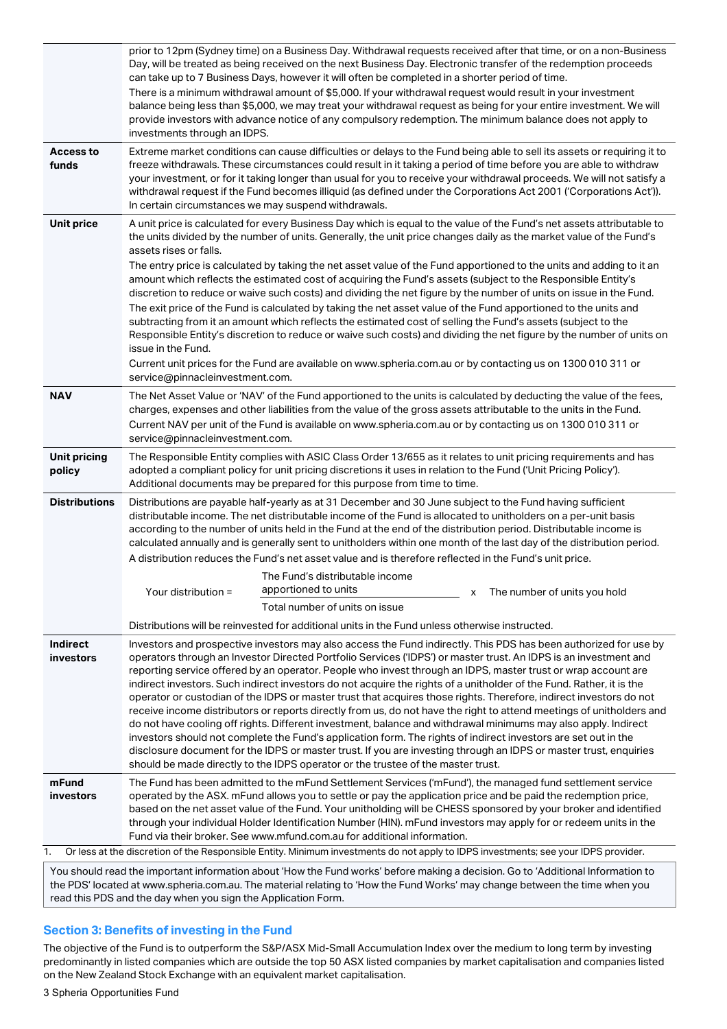|                               | prior to 12pm (Sydney time) on a Business Day. Withdrawal requests received after that time, or on a non-Business<br>Day, will be treated as being received on the next Business Day. Electronic transfer of the redemption proceeds<br>can take up to 7 Business Days, however it will often be completed in a shorter period of time.                                                                                                                                                                                                                                                                                                                                                                                                                                                                                                                                                                                                                                                                                                                                                                                                                                  |
|-------------------------------|--------------------------------------------------------------------------------------------------------------------------------------------------------------------------------------------------------------------------------------------------------------------------------------------------------------------------------------------------------------------------------------------------------------------------------------------------------------------------------------------------------------------------------------------------------------------------------------------------------------------------------------------------------------------------------------------------------------------------------------------------------------------------------------------------------------------------------------------------------------------------------------------------------------------------------------------------------------------------------------------------------------------------------------------------------------------------------------------------------------------------------------------------------------------------|
|                               | There is a minimum withdrawal amount of \$5,000. If your withdrawal request would result in your investment<br>balance being less than \$5,000, we may treat your withdrawal request as being for your entire investment. We will<br>provide investors with advance notice of any compulsory redemption. The minimum balance does not apply to<br>investments through an IDPS.                                                                                                                                                                                                                                                                                                                                                                                                                                                                                                                                                                                                                                                                                                                                                                                           |
| Access to<br>funds            | Extreme market conditions can cause difficulties or delays to the Fund being able to sell its assets or requiring it to<br>freeze withdrawals. These circumstances could result in it taking a period of time before you are able to withdraw<br>your investment, or for it taking longer than usual for you to receive your withdrawal proceeds. We will not satisfy a<br>withdrawal request if the Fund becomes illiquid (as defined under the Corporations Act 2001 ('Corporations Act')).<br>In certain circumstances we may suspend withdrawals.                                                                                                                                                                                                                                                                                                                                                                                                                                                                                                                                                                                                                    |
| <b>Unit price</b>             | A unit price is calculated for every Business Day which is equal to the value of the Fund's net assets attributable to<br>the units divided by the number of units. Generally, the unit price changes daily as the market value of the Fund's<br>assets rises or falls.                                                                                                                                                                                                                                                                                                                                                                                                                                                                                                                                                                                                                                                                                                                                                                                                                                                                                                  |
|                               | The entry price is calculated by taking the net asset value of the Fund apportioned to the units and adding to it an<br>amount which reflects the estimated cost of acquiring the Fund's assets (subject to the Responsible Entity's<br>discretion to reduce or waive such costs) and dividing the net figure by the number of units on issue in the Fund.<br>The exit price of the Fund is calculated by taking the net asset value of the Fund apportioned to the units and<br>subtracting from it an amount which reflects the estimated cost of selling the Fund's assets (subject to the<br>Responsible Entity's discretion to reduce or waive such costs) and dividing the net figure by the number of units on<br>issue in the Fund.                                                                                                                                                                                                                                                                                                                                                                                                                              |
|                               | Current unit prices for the Fund are available on www.spheria.com.au or by contacting us on 1300 010 311 or<br>service@pinnacleinvestment.com.                                                                                                                                                                                                                                                                                                                                                                                                                                                                                                                                                                                                                                                                                                                                                                                                                                                                                                                                                                                                                           |
| <b>NAV</b>                    | The Net Asset Value or 'NAV' of the Fund apportioned to the units is calculated by deducting the value of the fees,<br>charges, expenses and other liabilities from the value of the gross assets attributable to the units in the Fund.<br>Current NAV per unit of the Fund is available on www.spheria.com.au or by contacting us on 1300 010 311 or<br>service@pinnacleinvestment.com.                                                                                                                                                                                                                                                                                                                                                                                                                                                                                                                                                                                                                                                                                                                                                                                |
| <b>Unit pricing</b><br>policy | The Responsible Entity complies with ASIC Class Order 13/655 as it relates to unit pricing requirements and has<br>adopted a compliant policy for unit pricing discretions it uses in relation to the Fund ('Unit Pricing Policy').<br>Additional documents may be prepared for this purpose from time to time.                                                                                                                                                                                                                                                                                                                                                                                                                                                                                                                                                                                                                                                                                                                                                                                                                                                          |
| <b>Distributions</b>          | Distributions are payable half-yearly as at 31 December and 30 June subject to the Fund having sufficient<br>distributable income. The net distributable income of the Fund is allocated to unitholders on a per-unit basis<br>according to the number of units held in the Fund at the end of the distribution period. Distributable income is<br>calculated annually and is generally sent to unitholders within one month of the last day of the distribution period.                                                                                                                                                                                                                                                                                                                                                                                                                                                                                                                                                                                                                                                                                                 |
|                               | A distribution reduces the Fund's net asset value and is therefore reflected in the Fund's unit price.<br>The Fund's distributable income                                                                                                                                                                                                                                                                                                                                                                                                                                                                                                                                                                                                                                                                                                                                                                                                                                                                                                                                                                                                                                |
|                               | apportioned to units<br>Your distribution =<br>x The number of units you hold<br>Total number of units on issue                                                                                                                                                                                                                                                                                                                                                                                                                                                                                                                                                                                                                                                                                                                                                                                                                                                                                                                                                                                                                                                          |
|                               | Distributions will be reinvested for additional units in the Fund unless otherwise instructed.                                                                                                                                                                                                                                                                                                                                                                                                                                                                                                                                                                                                                                                                                                                                                                                                                                                                                                                                                                                                                                                                           |
| Indirect<br>investors         | Investors and prospective investors may also access the Fund indirectly. This PDS has been authorized for use by<br>operators through an Investor Directed Portfolio Services ('IDPS') or master trust. An IDPS is an investment and<br>reporting service offered by an operator. People who invest through an IDPS, master trust or wrap account are<br>indirect investors. Such indirect investors do not acquire the rights of a unitholder of the Fund. Rather, it is the<br>operator or custodian of the IDPS or master trust that acquires those rights. Therefore, indirect investors do not<br>receive income distributors or reports directly from us, do not have the right to attend meetings of unitholders and<br>do not have cooling off rights. Different investment, balance and withdrawal minimums may also apply. Indirect<br>investors should not complete the Fund's application form. The rights of indirect investors are set out in the<br>disclosure document for the IDPS or master trust. If you are investing through an IDPS or master trust, enquiries<br>should be made directly to the IDPS operator or the trustee of the master trust. |
| mFund<br>investors            | The Fund has been admitted to the mFund Settlement Services ('mFund'), the managed fund settlement service<br>operated by the ASX. mFund allows you to settle or pay the application price and be paid the redemption price,<br>based on the net asset value of the Fund. Your unitholding will be CHESS sponsored by your broker and identified<br>through your individual Holder Identification Number (HIN). mFund investors may apply for or redeem units in the<br>Fund via their broker. See www.mfund.com.au for additional information.                                                                                                                                                                                                                                                                                                                                                                                                                                                                                                                                                                                                                          |
| 1.                            | Or less at the discretion of the Responsible Entity. Minimum investments do not apply to IDPS investments; see your IDPS provider.<br>You should read the important information about 'How the Fund works' before making a decision. Go to 'Additional Information to                                                                                                                                                                                                                                                                                                                                                                                                                                                                                                                                                                                                                                                                                                                                                                                                                                                                                                    |

the important information about 'How the Fund works' before making a decision. Go to 'Additional Information to the PDS' located at www.spheria.com.au. The material relating to 'How the Fund Works' may change between the time when you read this PDS and the day when you sign the Application Form.

# **Section 3: Benefits of investing in the Fund**

The objective of the Fund is to outperform the S&P/ASX Mid-Small Accumulation Index over the medium to long term by investing predominantly in listed companies which are outside the top 50 ASX listed companies by market capitalisation and companies listed on the New Zealand Stock Exchange with an equivalent market capitalisation.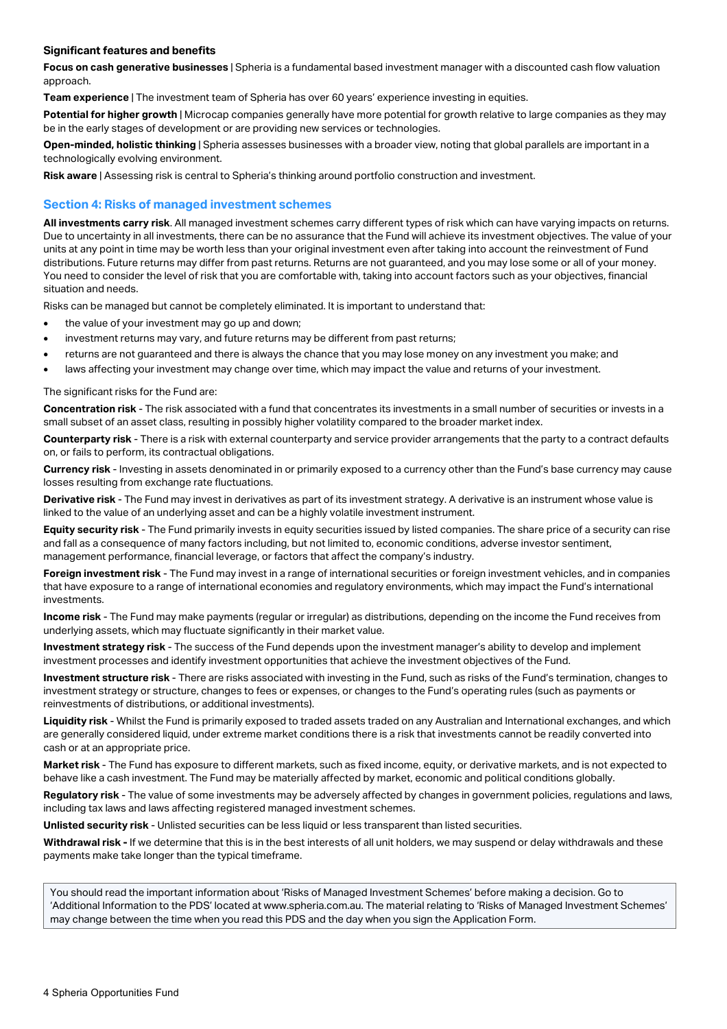### **Significant features and benefits**

**Focus on cash generative businesses** | Spheria is a fundamental based investment manager with a discounted cash flow valuation approach.

**Team experience** | The investment team of Spheria has over 60 years' experience investing in equities.

**Potential for higher growth** | Microcap companies generally have more potential for growth relative to large companies as they may be in the early stages of development or are providing new services or technologies.

**Open-minded, holistic thinking** | Spheria assesses businesses with a broader view, noting that global parallels are important in a technologically evolving environment.

**Risk aware** | Assessing risk is central to Spheria's thinking around portfolio construction and investment.

# **Section 4: Risks of managed investment schemes**

**All investments carry risk**. All managed investment schemes carry different types of risk which can have varying impacts on returns. Due to uncertainty in all investments, there can be no assurance that the Fund will achieve its investment objectives. The value of your units at any point in time may be worth less than your original investment even after taking into account the reinvestment of Fund distributions. Future returns may differ from past returns. Returns are not guaranteed, and you may lose some or all of your money. You need to consider the level of risk that you are comfortable with, taking into account factors such as your objectives, financial situation and needs.

Risks can be managed but cannot be completely eliminated. It is important to understand that:

- the value of your investment may go up and down;
- investment returns may vary, and future returns may be different from past returns;
- returns are not guaranteed and there is always the chance that you may lose money on any investment you make; and
- laws affecting your investment may change over time, which may impact the value and returns of your investment.

#### The significant risks for the Fund are:

**Concentration risk** - The risk associated with a fund that concentrates its investments in a small number of securities or invests in a small subset of an asset class, resulting in possibly higher volatility compared to the broader market index.

**Counterparty risk** - There is a risk with external counterparty and service provider arrangements that the party to a contract defaults on, or fails to perform, its contractual obligations.

**Currency risk** - Investing in assets denominated in or primarily exposed to a currency other than the Fund's base currency may cause losses resulting from exchange rate fluctuations.

**Derivative risk** - The Fund may invest in derivatives as part of its investment strategy. A derivative is an instrument whose value is linked to the value of an underlying asset and can be a highly volatile investment instrument.

**Equity security risk** - The Fund primarily invests in equity securities issued by listed companies. The share price of a security can rise and fall as a consequence of many factors including, but not limited to, economic conditions, adverse investor sentiment, management performance, financial leverage, or factors that affect the company's industry.

**Foreign investment risk** - The Fund may invest in a range of international securities or foreign investment vehicles, and in companies that have exposure to a range of international economies and regulatory environments, which may impact the Fund's international investments.

**Income risk** - The Fund may make payments (regular or irregular) as distributions, depending on the income the Fund receives from underlying assets, which may fluctuate significantly in their market value.

**Investment strategy risk** - The success of the Fund depends upon the investment manager's ability to develop and implement investment processes and identify investment opportunities that achieve the investment objectives of the Fund.

**Investment structure risk** - There are risks associated with investing in the Fund, such as risks of the Fund's termination, changes to investment strategy or structure, changes to fees or expenses, or changes to the Fund's operating rules (such as payments or reinvestments of distributions, or additional investments).

**Liquidity risk** - Whilst the Fund is primarily exposed to traded assets traded on any Australian and International exchanges, and which are generally considered liquid, under extreme market conditions there is a risk that investments cannot be readily converted into cash or at an appropriate price.

**Market risk** - The Fund has exposure to different markets, such as fixed income, equity, or derivative markets, and is not expected to behave like a cash investment. The Fund may be materially affected by market, economic and political conditions globally.

**Regulatory risk** - The value of some investments may be adversely affected by changes in government policies, regulations and laws, including tax laws and laws affecting registered managed investment schemes.

**Unlisted security risk** - Unlisted securities can be less liquid or less transparent than listed securities.

**Withdrawal risk -** If we determine that this is in the best interests of all unit holders, we may suspend or delay withdrawals and these payments make take longer than the typical timeframe.

You should read the important information about 'Risks of Managed Investment Schemes' before making a decision. Go to 'Additional Information to the PDS' located at www.spheria.com.au. The material relating to 'Risks of Managed Investment Schemes' may change between the time when you read this PDS and the day when you sign the Application Form.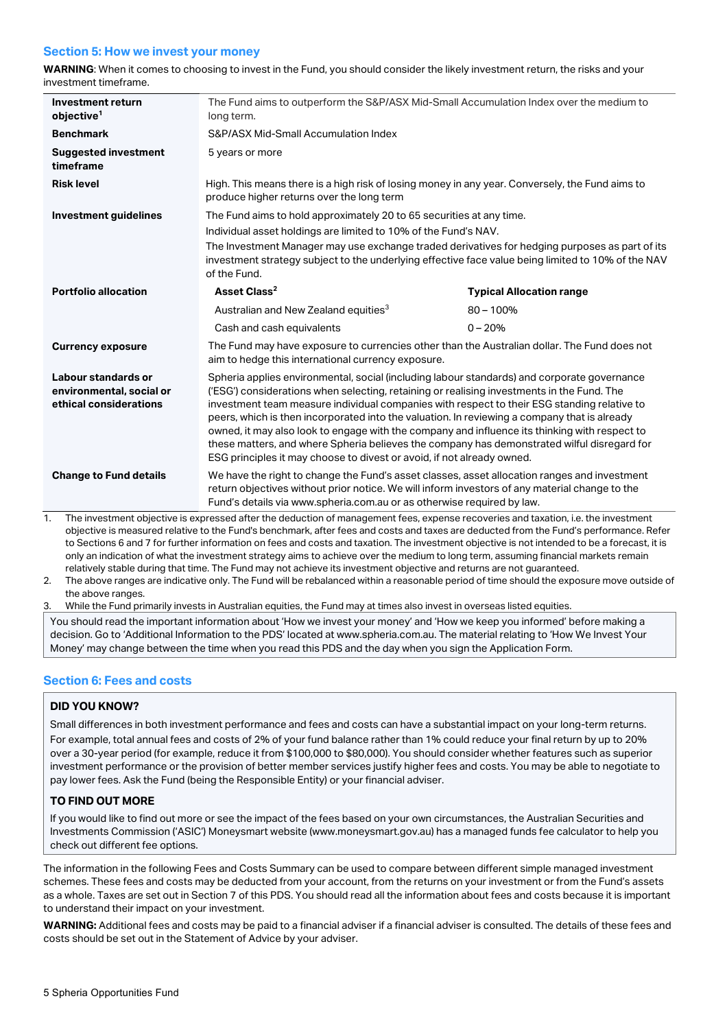# **Section 5: How we invest your money**

**WARNING**: When it comes to choosing to invest in the Fund, you should consider the likely investment return, the risks and your investment timeframe.

| Investment return<br>objective <sup>1</sup>                               | The Fund aims to outperform the S&P/ASX Mid-Small Accumulation Index over the medium to<br>long term.                                                                                                                                                                                                                                                                                                                                                                                                                                                                                                                                                              |                                 |  |
|---------------------------------------------------------------------------|--------------------------------------------------------------------------------------------------------------------------------------------------------------------------------------------------------------------------------------------------------------------------------------------------------------------------------------------------------------------------------------------------------------------------------------------------------------------------------------------------------------------------------------------------------------------------------------------------------------------------------------------------------------------|---------------------------------|--|
| <b>Benchmark</b>                                                          | S&P/ASX Mid-Small Accumulation Index                                                                                                                                                                                                                                                                                                                                                                                                                                                                                                                                                                                                                               |                                 |  |
| <b>Suggested investment</b><br>timeframe                                  | 5 years or more                                                                                                                                                                                                                                                                                                                                                                                                                                                                                                                                                                                                                                                    |                                 |  |
| <b>Risk level</b>                                                         | High. This means there is a high risk of losing money in any year. Conversely, the Fund aims to<br>produce higher returns over the long term                                                                                                                                                                                                                                                                                                                                                                                                                                                                                                                       |                                 |  |
| <b>Investment guidelines</b>                                              | The Fund aims to hold approximately 20 to 65 securities at any time.                                                                                                                                                                                                                                                                                                                                                                                                                                                                                                                                                                                               |                                 |  |
|                                                                           | Individual asset holdings are limited to 10% of the Fund's NAV.                                                                                                                                                                                                                                                                                                                                                                                                                                                                                                                                                                                                    |                                 |  |
|                                                                           | The Investment Manager may use exchange traded derivatives for hedging purposes as part of its<br>investment strategy subject to the underlying effective face value being limited to 10% of the NAV<br>of the Fund.                                                                                                                                                                                                                                                                                                                                                                                                                                               |                                 |  |
| <b>Portfolio allocation</b>                                               | Asset Class <sup>2</sup>                                                                                                                                                                                                                                                                                                                                                                                                                                                                                                                                                                                                                                           | <b>Typical Allocation range</b> |  |
|                                                                           | Australian and New Zealand equities <sup>3</sup>                                                                                                                                                                                                                                                                                                                                                                                                                                                                                                                                                                                                                   | $80 - 100%$                     |  |
|                                                                           | Cash and cash equivalents                                                                                                                                                                                                                                                                                                                                                                                                                                                                                                                                                                                                                                          | $0 - 20%$                       |  |
| <b>Currency exposure</b>                                                  | The Fund may have exposure to currencies other than the Australian dollar. The Fund does not<br>aim to hedge this international currency exposure.                                                                                                                                                                                                                                                                                                                                                                                                                                                                                                                 |                                 |  |
| Labour standards or<br>environmental, social or<br>ethical considerations | Spheria applies environmental, social (including labour standards) and corporate governance<br>('ESG') considerations when selecting, retaining or realising investments in the Fund. The<br>investment team measure individual companies with respect to their ESG standing relative to<br>peers, which is then incorporated into the valuation. In reviewing a company that is already<br>owned, it may also look to engage with the company and influence its thinking with respect to<br>these matters, and where Spheria believes the company has demonstrated wilful disregard for<br>ESG principles it may choose to divest or avoid, if not already owned. |                                 |  |
| <b>Change to Fund details</b>                                             | We have the right to change the Fund's asset classes, asset allocation ranges and investment<br>return objectives without prior notice. We will inform investors of any material change to the<br>Fund's details via www.spheria.com.au or as otherwise required by law.                                                                                                                                                                                                                                                                                                                                                                                           |                                 |  |
| 1.                                                                        | The investment objective is expressed after the deduction of management fees, expense recoveries and taxation, i.e. the investment                                                                                                                                                                                                                                                                                                                                                                                                                                                                                                                                 |                                 |  |

objective is measured relative to the Fund's benchmark, after fees and costs and taxes are deducted from the Fund's performance. Refer to Sections 6 and 7 for further information on fees and costs and taxation. The investment objective is not intended to be a forecast, it is only an indication of what the investment strategy aims to achieve over the medium to long term, assuming financial markets remain relatively stable during that time. The Fund may not achieve its investment objective and returns are not guaranteed.

2. The above ranges are indicative only. The Fund will be rebalanced within a reasonable period of time should the exposure move outside of the above ranges.

3. While the Fund primarily invests in Australian equities, the Fund may at times also invest in overseas listed equities.

You should read the important information about 'How we invest your money' and 'How we keep you informed' before making a decision. Go to 'Additional Information to the PDS' located at www.spheria.com.au. The material relating to 'How We Invest Your Money' may change between the time when you read this PDS and the day when you sign the Application Form.

# **Section 6: Fees and costs**

# **DID YOU KNOW?**

Small differences in both investment performance and fees and costs can have a substantial impact on your long-term returns. For example, total annual fees and costs of 2% of your fund balance rather than 1% could reduce your final return by up to 20% over a 30-year period (for example, reduce it from \$100,000 to \$80,000). You should consider whether features such as superior investment performance or the provision of better member services justify higher fees and costs. You may be able to negotiate to pay lower fees. Ask the Fund (being the Responsible Entity) or your financial adviser.

# **TO FIND OUT MORE**

If you would like to find out more or see the impact of the fees based on your own circumstances, the Australian Securities and Investments Commission ('ASIC') Moneysmart website (www.moneysmart.gov.au) has a managed funds fee calculator to help you check out different fee options.

The information in the following Fees and Costs Summary can be used to compare between different simple managed investment schemes. These fees and costs may be deducted from your account, from the returns on your investment or from the Fund's assets as a whole. Taxes are set out in Section 7 of this PDS. You should read all the information about fees and costs because it is important to understand their impact on your investment.

**WARNING:** Additional fees and costs may be paid to a financial adviser if a financial adviser is consulted. The details of these fees and costs should be set out in the Statement of Advice by your adviser.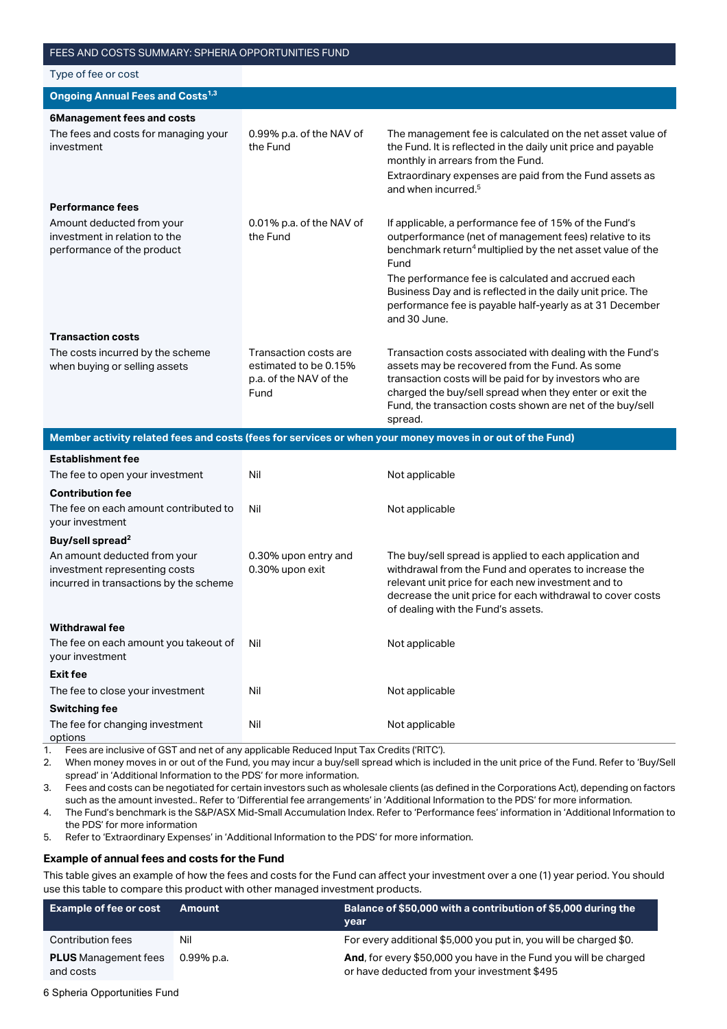| Type of fee or cost                                                                      |                                                                                  |                                                                                                                                                                                                                                                                                                           |
|------------------------------------------------------------------------------------------|----------------------------------------------------------------------------------|-----------------------------------------------------------------------------------------------------------------------------------------------------------------------------------------------------------------------------------------------------------------------------------------------------------|
| <b>Ongoing Annual Fees and Costs<sup>1,3</sup></b>                                       |                                                                                  |                                                                                                                                                                                                                                                                                                           |
| <b>6Management fees and costs</b>                                                        |                                                                                  |                                                                                                                                                                                                                                                                                                           |
| The fees and costs for managing your<br>investment                                       | 0.99% p.a. of the NAV of<br>the Fund                                             | The management fee is calculated on the net asset value of<br>the Fund. It is reflected in the daily unit price and payable<br>monthly in arrears from the Fund.<br>Extraordinary expenses are paid from the Fund assets as<br>and when incurred. <sup>5</sup>                                            |
| <b>Performance fees</b>                                                                  |                                                                                  |                                                                                                                                                                                                                                                                                                           |
| Amount deducted from your<br>investment in relation to the<br>performance of the product | 0.01% p.a. of the NAV of<br>the Fund                                             | If applicable, a performance fee of 15% of the Fund's<br>outperformance (net of management fees) relative to its<br>benchmark return <sup>4</sup> multiplied by the net asset value of the<br>Fund                                                                                                        |
|                                                                                          |                                                                                  | The performance fee is calculated and accrued each<br>Business Day and is reflected in the daily unit price. The<br>performance fee is payable half-yearly as at 31 December<br>and 30 June.                                                                                                              |
| <b>Transaction costs</b>                                                                 |                                                                                  |                                                                                                                                                                                                                                                                                                           |
| The costs incurred by the scheme<br>when buying or selling assets                        | Transaction costs are<br>estimated to be 0.15%<br>p.a. of the NAV of the<br>Fund | Transaction costs associated with dealing with the Fund's<br>assets may be recovered from the Fund. As some<br>transaction costs will be paid for by investors who are<br>charged the buy/sell spread when they enter or exit the<br>Fund, the transaction costs shown are net of the buy/sell<br>spread. |

**Member activity related fees and costs (fees for services or when your money moves in or out of the Fund)**

| Establishment fee                                                                                       |                                         |                                                                                                                                                                                                                                                                           |
|---------------------------------------------------------------------------------------------------------|-----------------------------------------|---------------------------------------------------------------------------------------------------------------------------------------------------------------------------------------------------------------------------------------------------------------------------|
| The fee to open your investment                                                                         | Nil                                     | Not applicable                                                                                                                                                                                                                                                            |
| <b>Contribution fee</b>                                                                                 |                                         |                                                                                                                                                                                                                                                                           |
| The fee on each amount contributed to<br>your investment                                                | Nil                                     | Not applicable                                                                                                                                                                                                                                                            |
| Buy/sell spread <sup>2</sup>                                                                            |                                         |                                                                                                                                                                                                                                                                           |
| An amount deducted from your<br>investment representing costs<br>incurred in transactions by the scheme | 0.30% upon entry and<br>0.30% upon exit | The buy/sell spread is applied to each application and<br>withdrawal from the Fund and operates to increase the<br>relevant unit price for each new investment and to<br>decrease the unit price for each withdrawal to cover costs<br>of dealing with the Fund's assets. |
| <b>Withdrawal fee</b>                                                                                   |                                         |                                                                                                                                                                                                                                                                           |
| The fee on each amount you takeout of<br>your investment                                                | Nil                                     | Not applicable                                                                                                                                                                                                                                                            |
| <b>Exit fee</b>                                                                                         |                                         |                                                                                                                                                                                                                                                                           |
| The fee to close your investment                                                                        | Nil                                     | Not applicable                                                                                                                                                                                                                                                            |
| <b>Switching fee</b>                                                                                    |                                         |                                                                                                                                                                                                                                                                           |
| The fee for changing investment<br>options                                                              | Nil                                     | Not applicable                                                                                                                                                                                                                                                            |

1. Fees are inclusive of GST and net of any applicable Reduced Input Tax Credits ('RITC').

2. When money moves in or out of the Fund, you may incur a buy/sell spread which is included in the unit price of the Fund. Refer to 'Buy/Sell spread' in 'Additional Information to the PDS' for more information.

3. Fees and costs can be negotiated for certain investors such as wholesale clients (as defined in the Corporations Act), depending on factors such as the amount invested.. Refer to 'Differential fee arrangements' in 'Additional Information to the PDS' for more information.

4. The Fund's benchmark is the S&P/ASX Mid-Small Accumulation Index. Refer to 'Performance fees' information in 'Additional Information to the PDS' for more information

5. Refer to 'Extraordinary Expenses' in 'Additional Information to the PDS' for more information.

#### **Example of annual fees and costs for the Fund**

This table gives an example of how the fees and costs for the Fund can affect your investment over a one (1) year period. You should use this table to compare this product with other managed investment products.

| <b>Example of fee or cost</b>            | Amount        | Balance of \$50,000 with a contribution of \$5,000 during the                                                   |
|------------------------------------------|---------------|-----------------------------------------------------------------------------------------------------------------|
|                                          |               | vear                                                                                                            |
| Contribution fees                        | Nil           | For every additional \$5,000 you put in, you will be charged \$0.                                               |
| <b>PLUS</b> Management fees<br>and costs | $0.99\%$ p.a. | And, for every \$50,000 you have in the Fund you will be charged<br>or have deducted from your investment \$495 |

6 Spheria Opportunities Fund

**Establishment fee**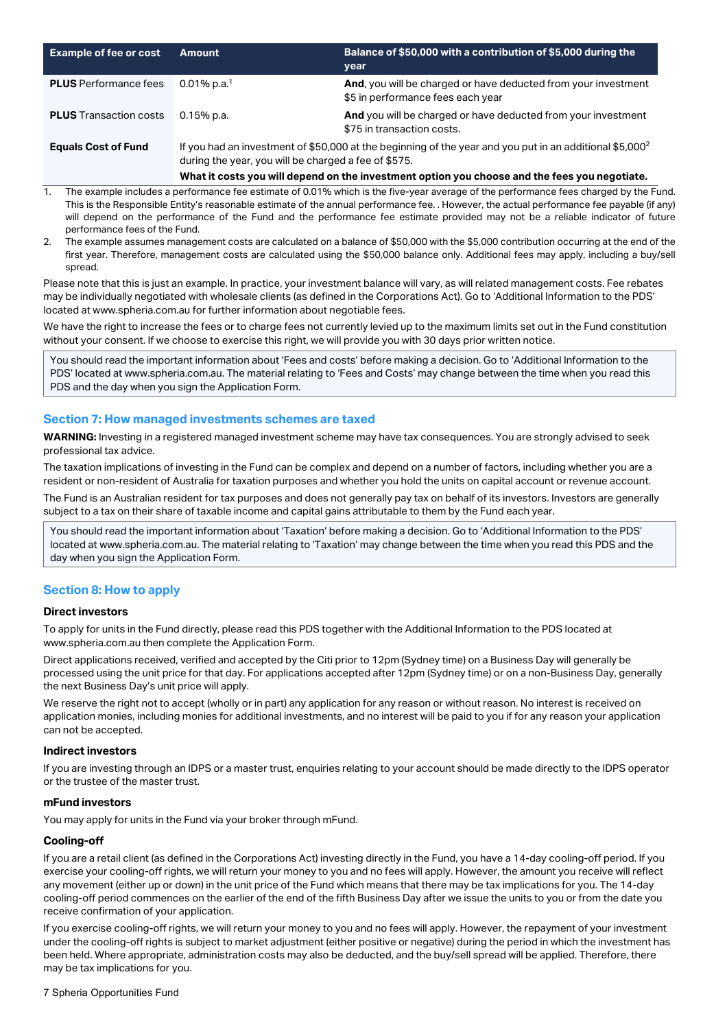| <b>Example of fee or cost</b> | Amount                                                                                                                                                                      | Balance of \$50,000 with a contribution of \$5,000 during the<br>year                               |
|-------------------------------|-----------------------------------------------------------------------------------------------------------------------------------------------------------------------------|-----------------------------------------------------------------------------------------------------|
| <b>PLUS</b> Performance fees  | 0.01% p.a. <sup>1</sup>                                                                                                                                                     | And, you will be charged or have deducted from your investment<br>\$5 in performance fees each year |
| <b>PLUS</b> Transaction costs | 0.15% p.a.                                                                                                                                                                  | And you will be charged or have deducted from your investment<br>\$75 in transaction costs.         |
| <b>Equals Cost of Fund</b>    | If you had an investment of \$50,000 at the beginning of the year and you put in an additional \$5,000 <sup>2</sup><br>during the year, you will be charged a fee of \$575. |                                                                                                     |
|                               | What it costs you will depend on the investment option you choose and the fees you negotiate.                                                                               |                                                                                                     |

- 1. The example includes a performance fee estimate of 0.01% which is the five-year average of the performance fees charged by the Fund. This is the Responsible Entity's reasonable estimate of the annual performance fee. . However, the actual performance fee payable (if any) will depend on the performance of the Fund and the performance fee estimate provided may not be a reliable indicator of future performance fees of the Fund.
- 2. The example assumes management costs are calculated on a balance of \$50,000 with the \$5,000 contribution occurring at the end of the first year. Therefore, management costs are calculated using the \$50,000 balance only. Additional fees may apply, including a buy/sell spread.

Please note that this is just an example. In practice, your investment balance will vary, as will related management costs. Fee rebates may be individually negotiated with wholesale clients (as defined in the Corporations Act). Go to 'Additional Information to the PDS' located at www.spheria.com.au for further information about negotiable fees.

We have the right to increase the fees or to charge fees not currently levied up to the maximum limits set out in the Fund constitution without your consent. If we choose to exercise this right, we will provide you with 30 days prior written notice.

You should read the important information about 'Fees and costs' before making a decision. Go to 'Additional Information to the PDS' located at www.spheria.com.au. The material relating to 'Fees and Costs' may change between the time when you read this PDS and the day when you sign the Application Form.

# **Section 7: How managed investments schemes are taxed**

**WARNING:** Investing in a registered managed investment scheme may have tax consequences. You are strongly advised to seek professional tax advice.

The taxation implications of investing in the Fund can be complex and depend on a number of factors, including whether you are a resident or non-resident of Australia for taxation purposes and whether you hold the units on capital account or revenue account.

The Fund is an Australian resident for tax purposes and does not generally pay tax on behalf of its investors. Investors are generally subject to a tax on their share of taxable income and capital gains attributable to them by the Fund each year.

You should read the important information about 'Taxation' before making a decision. Go to 'Additional Information to the PDS' located at www.spheria.com.au. The material relating to 'Taxation' may change between the time when you read this PDS and the day when you sign the Application Form.

# **Section 8: How to apply**

#### **Direct investors**

To apply for units in the Fund directly, please read this PDS together with the Additional Information to the PDS located at www.spheria.com.au then complete the Application Form.

Direct applications received, verified and accepted by the Citi prior to 12pm (Sydney time) on a Business Day will generally be processed using the unit price for that day. For applications accepted after 12pm (Sydney time) or on a non-Business Day, generally the next Business Day's unit price will apply.

We reserve the right not to accept (wholly or in part) any application for any reason or without reason. No interest is received on application monies, including monies for additional investments, and no interest will be paid to you if for any reason your application can not be accepted.

#### **Indirect investors**

If you are investing through an IDPS or a master trust, enquiries relating to your account should be made directly to the IDPS operator or the trustee of the master trust.

#### **mFund investors**

You may apply for units in the Fund via your broker through mFund.

#### **Cooling-off**

If you are a retail client (as defined in the Corporations Act) investing directly in the Fund, you have a 14-day cooling-off period. If you exercise your cooling-off rights, we will return your money to you and no fees will apply. However, the amount you receive will reflect any movement (either up or down) in the unit price of the Fund which means that there may be tax implications for you. The 14-day cooling-off period commences on the earlier of the end of the fifth Business Day after we issue the units to you or from the date you receive confirmation of your application.

If you exercise cooling-off rights, we will return your money to you and no fees will apply. However, the repayment of your investment under the cooling-off rights is subject to market adjustment (either positive or negative) during the period in which the investment has been held. Where appropriate, administration costs may also be deducted, and the buy/sell spread will be applied. Therefore, there may be tax implications for you.